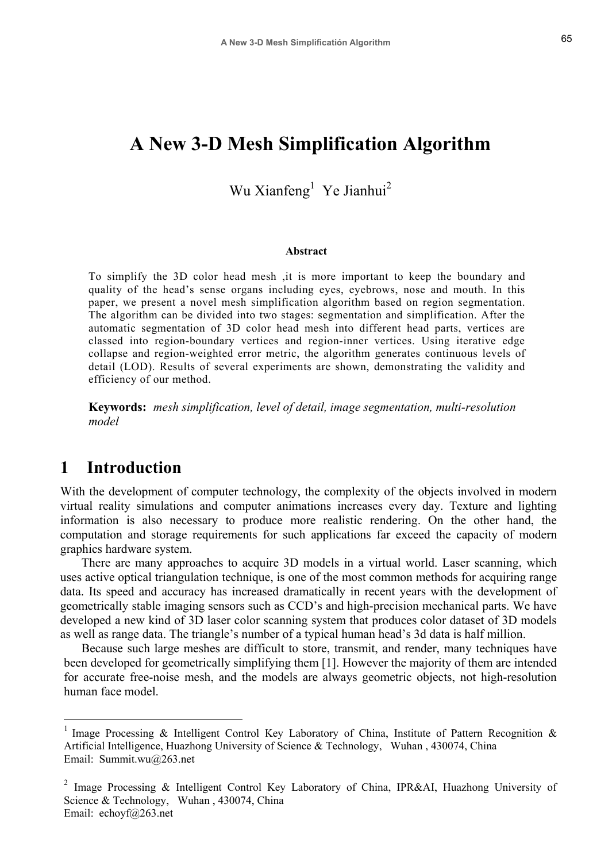# **A New 3-D Mesh Simplification Algorithm**

## Wu Xianfeng<sup>1</sup> Ye Jianhui<sup>2</sup>

#### **Abstract**

To simplify the 3D color head mesh ,it is more important to keep the boundary and quality of the head's sense organs including eyes, eyebrows, nose and mouth. In this paper, we present a novel mesh simplification algorithm based on region segmentation. The algorithm can be divided into two stages: segmentation and simplification. After the automatic segmentation of 3D color head mesh into different head parts, vertices are classed into region-boundary vertices and region-inner vertices. Using iterative edge collapse and region-weighted error metric, the algorithm generates continuous levels of detail (LOD). Results of several experiments are shown, demonstrating the validity and efficiency of our method.

**Keywords:** *mesh simplification, level of detail, image segmentation, multi-resolution model* 

## **1 Introduction**

With the development of computer technology, the complexity of the objects involved in modern virtual reality simulations and computer animations increases every day. Texture and lighting information is also necessary to produce more realistic rendering. On the other hand, the computation and storage requirements for such applications far exceed the capacity of modern graphics hardware system.

There are many approaches to acquire 3D models in a virtual world. Laser scanning, which uses active optical triangulation technique, is one of the most common methods for acquiring range data. Its speed and accuracy has increased dramatically in recent years with the development of geometrically stable imaging sensors such as CCD's and high-precision mechanical parts. We have developed a new kind of 3D laser color scanning system that produces color dataset of 3D models as well as range data. The triangle's number of a typical human head's 3d data is half million.

Because such large meshes are difficult to store, transmit, and render, many techniques have been developed for geometrically simplifying them [1]. However the majority of them are intended for accurate free-noise mesh, and the models are always geometric objects, not high-resolution human face model.

Image Processing & Intelligent Control Key Laboratory of China, Institute of Pattern Recognition & Artificial Intelligence, Huazhong University of Science & Technology, Wuhan , 430074, China Email: Summit.wu@263.net

<sup>&</sup>lt;sup>2</sup> Image Processing & Intelligent Control Key Laboratory of China, IPR&AI, Huazhong University of Science & Technology, Wuhan, 430074, China Email: echoyf@263.net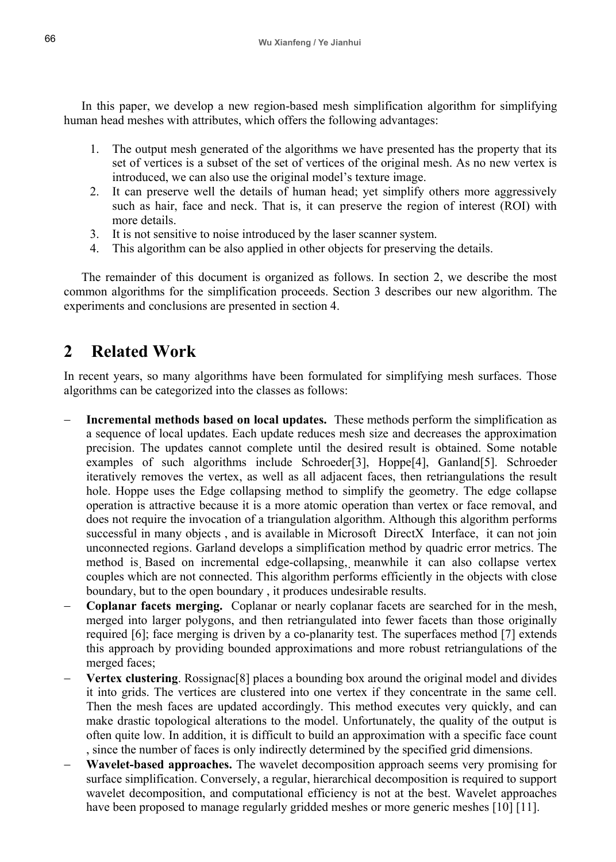In this paper, we develop a new region-based mesh simplification algorithm for simplifying human head meshes with attributes, which offers the following advantages:

- 1. The output mesh generated of the algorithms we have presented has the property that its set of vertices is a subset of the set of vertices of the original mesh. As no new vertex is introduced, we can also use the original model's texture image.
- 2. It can preserve well the details of human head; yet simplify others more aggressively such as hair, face and neck. That is, it can preserve the region of interest (ROI) with more details.
- 3. It is not sensitive to noise introduced by the laser scanner system.
- 4. This algorithm can be also applied in other objects for preserving the details.

The remainder of this document is organized as follows. In section 2, we describe the most common algorithms for the simplification proceeds. Section 3 describes our new algorithm. The experiments and conclusions are presented in section 4.

## **2 Related Work**

In recent years, so many algorithms have been formulated for simplifying mesh surfaces. Those algorithms can be categorized into the classes as follows:

- � **Incremental methods based on local updates.** These methods perform the simplification as a sequence of local updates. Each update reduces mesh size and decreases the approximation precision. The updates cannot complete until the desired result is obtained. Some notable examples of such algorithms include Schroeder[3], Hoppe[4], Ganland[5]. Schroeder iteratively removes the vertex, as well as all adjacent faces, then retriangulations the result hole. Hoppe uses the Edge collapsing method to simplify the geometry. The edge collapse operation is attractive because it is a more atomic operation than vertex or face removal, and does not require the invocation of a triangulation algorithm. Although this algorithm performs successful in many objects , and is available in Microsoft DirectX Interface, it can not join unconnected regions. Garland develops a simplification method by quadric error metrics. The method is Based on incremental edge-collapsing, meanwhile it can also collapse vertex couples which are not connected. This algorithm performs efficiently in the objects with close boundary, but to the open boundary , it produces undesirable results.
- **Coplanar facets merging.** Coplanar or nearly coplanar facets are searched for in the mesh, merged into larger polygons, and then retriangulated into fewer facets than those originally required [6]; face merging is driven by a co-planarity test. The superfaces method [7] extends this approach by providing bounded approximations and more robust retriangulations of the merged faces;
- � **Vertex clustering**. Rossignac[8] places a bounding box around the original model and divides it into grids. The vertices are clustered into one vertex if they concentrate in the same cell. Then the mesh faces are updated accordingly. This method executes very quickly, and can make drastic topological alterations to the model. Unfortunately, the quality of the output is often quite low. In addition, it is difficult to build an approximation with a specific face count , since the number of faces is only indirectly determined by the specified grid dimensions.
- **Wavelet-based approaches.** The wavelet decomposition approach seems very promising for surface simplification. Conversely, a regular, hierarchical decomposition is required to support wavelet decomposition, and computational efficiency is not at the best. Wavelet approaches have been proposed to manage regularly gridded meshes or more generic meshes [10] [11].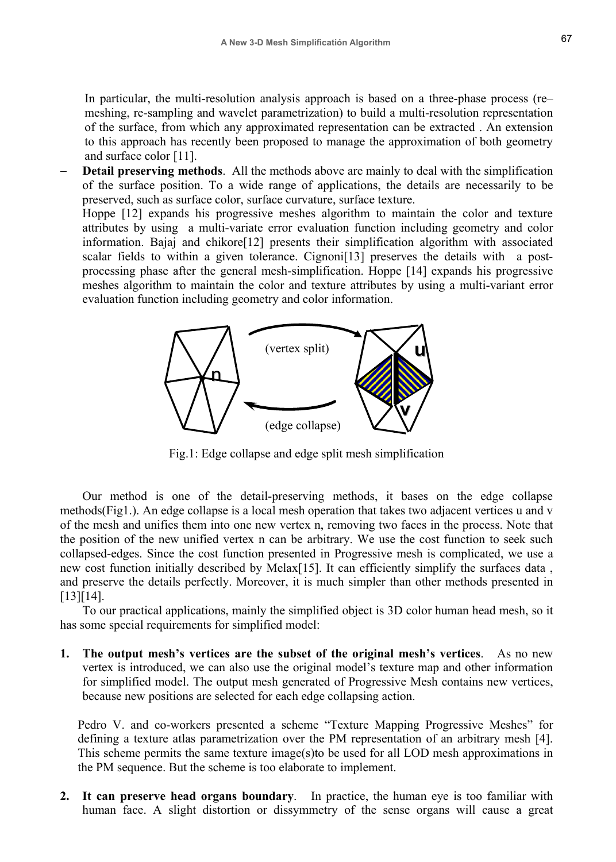In particular, the multi-resolution analysis approach is based on a three-phase process (re meshing, re-sampling and wavelet parametrization) to build a multi-resolution representation of the surface, from which any approximated representation can be extracted . An extension to this approach has recently been proposed to manage the approximation of both geometry and surface color [11].

**Detail preserving methods**. All the methods above are mainly to deal with the simplification of the surface position. To a wide range of applications, the details are necessarily to be preserved, such as surface color, surface curvature, surface texture.

Hoppe [12] expands his progressive meshes algorithm to maintain the color and texture attributes by using a multi-variate error evaluation function including geometry and color information. Bajaj and chikore[12] presents their simplification algorithm with associated scalar fields to within a given tolerance. Cignoni[13] preserves the details with a postprocessing phase after the general mesh-simplification. Hoppe [14] expands his progressive meshes algorithm to maintain the color and texture attributes by using a multi-variant error evaluation function including geometry and color information.



Fig.1: Edge collapse and edge split mesh simplification

Our method is one of the detail-preserving methods, it bases on the edge collapse methods(Fig1.). An edge collapse is a local mesh operation that takes two adjacent vertices u and v of the mesh and unifies them into one new vertex n, removing two faces in the process. Note that the position of the new unified vertex n can be arbitrary. We use the cost function to seek such collapsed-edges. Since the cost function presented in Progressive mesh is complicated, we use a new cost function initially described by Melax[15]. It can efficiently simplify the surfaces data , and preserve the details perfectly. Moreover, it is much simpler than other methods presented in [13][14].

To our practical applications, mainly the simplified object is 3D color human head mesh, so it has some special requirements for simplified model:

**1.** The output mesh's vertices are the subset of the original mesh's vertices. As no new vertex is introduced, we can also use the original model's texture map and other information for simplified model. The output mesh generated of Progressive Mesh contains new vertices, because new positions are selected for each edge collapsing action.

Pedro V. and co-workers presented a scheme "Texture Mapping Progressive Meshes" for defining a texture atlas parametrization over the PM representation of an arbitrary mesh [4]. This scheme permits the same texture image(s)to be used for all LOD mesh approximations in the PM sequence. But the scheme is too elaborate to implement.

**2. It can preserve head organs boundary**. In practice, the human eye is too familiar with human face. A slight distortion or dissymmetry of the sense organs will cause a great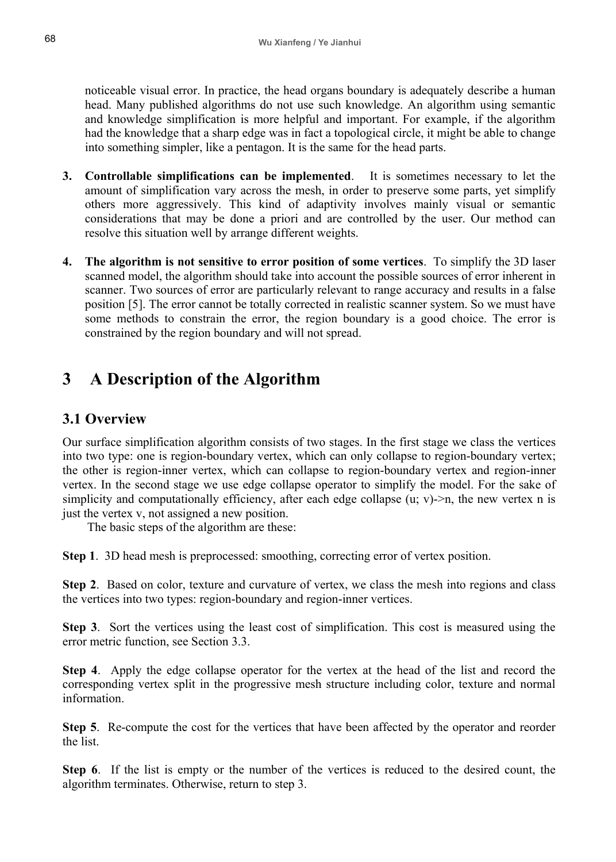noticeable visual error. In practice, the head organs boundary is adequately describe a human head. Many published algorithms do not use such knowledge. An algorithm using semantic and knowledge simplification is more helpful and important. For example, if the algorithm had the knowledge that a sharp edge was in fact a topological circle, it might be able to change into something simpler, like a pentagon. It is the same for the head parts.

- **3. Controllable simplifications can be implemented**. It is sometimes necessary to let the amount of simplification vary across the mesh, in order to preserve some parts, yet simplify others more aggressively. This kind of adaptivity involves mainly visual or semantic considerations that may be done a priori and are controlled by the user. Our method can resolve this situation well by arrange different weights.
- **4. The algorithm is not sensitive to error position of some vertices**. To simplify the 3D laser scanned model, the algorithm should take into account the possible sources of error inherent in scanner. Two sources of error are particularly relevant to range accuracy and results in a false position [5]. The error cannot be totally corrected in realistic scanner system. So we must have some methods to constrain the error, the region boundary is a good choice. The error is constrained by the region boundary and will not spread.

# **3 A Description of the Algorithm**

### **3.1 Overview**

Our surface simplification algorithm consists of two stages. In the first stage we class the vertices into two type: one is region-boundary vertex, which can only collapse to region-boundary vertex; the other is region-inner vertex, which can collapse to region-boundary vertex and region-inner vertex. In the second stage we use edge collapse operator to simplify the model. For the sake of simplicity and computationally efficiency, after each edge collapse  $(u; v)$ ->n, the new vertex n is just the vertex v, not assigned a new position.

The basic steps of the algorithm are these:

**Step 1**. 3D head mesh is preprocessed: smoothing, correcting error of vertex position.

**Step 2**. Based on color, texture and curvature of vertex, we class the mesh into regions and class the vertices into two types: region-boundary and region-inner vertices.

**Step 3**. Sort the vertices using the least cost of simplification. This cost is measured using the error metric function, see Section 3.3.

**Step 4**. Apply the edge collapse operator for the vertex at the head of the list and record the corresponding vertex split in the progressive mesh structure including color, texture and normal information.

**Step 5**. Re-compute the cost for the vertices that have been affected by the operator and reorder the list.

**Step 6**. If the list is empty or the number of the vertices is reduced to the desired count, the algorithm terminates. Otherwise, return to step 3.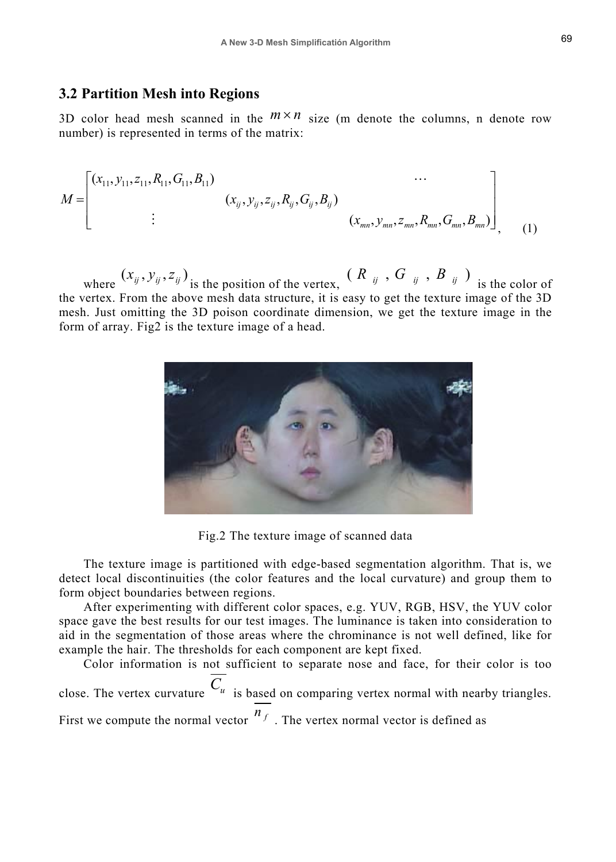#### **3.2 Partition Mesh into Regions**

3D color head mesh scanned in the  $m \times n$  size (m denote the columns, n denote row number) is represented in terms of the matrix:

$$
M = \begin{bmatrix} (x_{11}, y_{11}, z_{11}, R_{11}, G_{11}, B_{11}) & \cdots \\ \vdots & (x_{ij}, y_{ij}, z_{ij}, R_{ij}, G_{ij}, B_{ij}) \\ \vdots & (x_{mn}, y_{mn}, z_{mn}, R_{mn}, G_{mn}, B_{mn}) \end{bmatrix}
$$
 (1)

where  $(x_{ij},y_{ij},z_{ij})$  is the position of the vertex,  $(R_{ij},G_{ij},B_{ij})$  is the color of the vertex. From the above mesh data structure, it is easy to get the texture image of the 3D mesh. Just omitting the 3D poison coordinate dimension, we get the texture image in the form of array. Fig2 is the texture image of a head.



Fig.2 The texture image of scanned data

The texture image is partitioned with edge-based segmentation algorithm. That is, we detect local discontinuities (the color features and the local curvature) and group them to form object boundaries between regions.

After experimenting with different color spaces, e.g. YUV, RGB, HSV, the YUV color space gave the best results for our test images. The luminance is taken into consideration to aid in the segmentation of those areas where the chrominance is not well defined, like for example the hair. The thresholds for each component are kept fixed.

Color information is not sufficient to separate nose and face, for their color is too close. The vertex curvature  $C_u$  is based on comparing vertex normal with nearby triangles. First we compute the normal vector  $\binom{n_f}{}$ . The vertex normal vector is defined as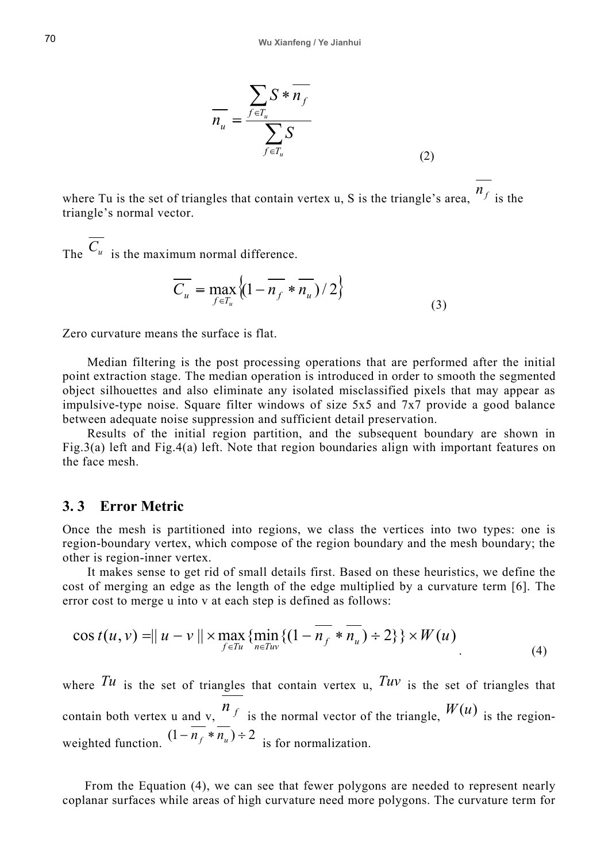$$
\overline{n_u} = \frac{\sum_{f \in T_u} S * \overline{n_f}}{\sum_{f \in T_u} S}
$$
\n(2)

where Tu is the set of triangles that contain vertex u, S is the triangle's area,  $n_f$  is the triangle's normal vector.

The  $C_u$  is the maximum normal difference.

$$
\overline{C_u} = \max_{f \in T_u} \left\{ \left( 1 - \overline{n_f} \ast \overline{n_u} \right) / 2 \right\} \tag{3}
$$

Zero curvature means the surface is flat.

Median filtering is the post processing operations that are performed after the initial point extraction stage. The median operation is introduced in order to smooth the segmented object silhouettes and also eliminate any isolated misclassified pixels that may appear as impulsive-type noise. Square filter windows of size 5x5 and 7x7 provide a good balance between adequate noise suppression and sufficient detail preservation.

Results of the initial region partition, and the subsequent boundary are shown in Fig.3(a) left and Fig.4(a) left. Note that region boundaries align with important features on the face mesh.

#### **3. 3 Error Metric**

Once the mesh is partitioned into regions, we class the vertices into two types: one is region-boundary vertex, which compose of the region boundary and the mesh boundary; the other is region-inner vertex.

It makes sense to get rid of small details first. Based on these heuristics, we define the cost of merging an edge as the length of the edge multiplied by a curvature term [6]. The error cost to merge u into v at each step is defined as follows:

$$
\cos t(u, v) = ||u - v|| \times \max_{f \in T_u} \{ \min_{n \in T_{uv}} \{ (1 - \overline{n_f} * \overline{n_u}) \div 2 \} \} \times W(u)
$$
\n(4)

where  $Tu$  is the set of triangles that contain vertex u,  $Tuv$  is the set of triangles that contain both vertex u and v,  $n_f$  is the normal vector of the triangle,  $W(u)$  is the regionweighted function.  $(1 - \overline{n_f} * \overline{n_u}) \div 2$  is for normalization.

From the Equation (4), we can see that fewer polygons are needed to represent nearly coplanar surfaces while areas of high curvature need more polygons. The curvature term for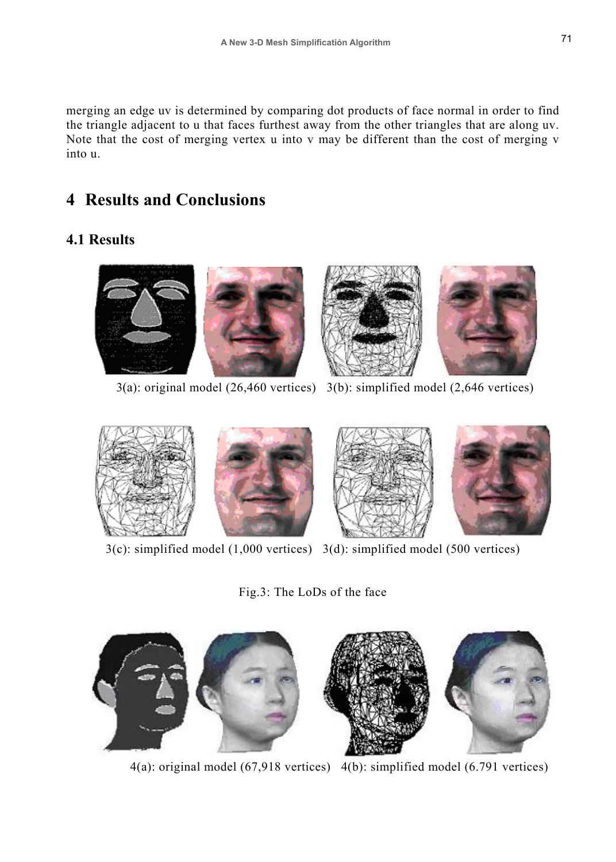merging an edge uv is determined by comparing dot products of face normal in order to find the triangle adjacent to u that faces furthest away from the other triangles that are along uv. Note that the cost of merging vertex u into v may be different than the cost of merging v into u.

# **4 Results and Conclusions**

### **4.1 Results**



3(a): original model (26,460 vertices) 3(b): simplified model (2,646 vertices)



3(c): simplified model (1,000 vertices) 3(d): simplified model (500 vertices)

Fig.3: The LoDs of the face



4(a): original model (67,918 vertices) 4(b): simplified model (6.791 vertices)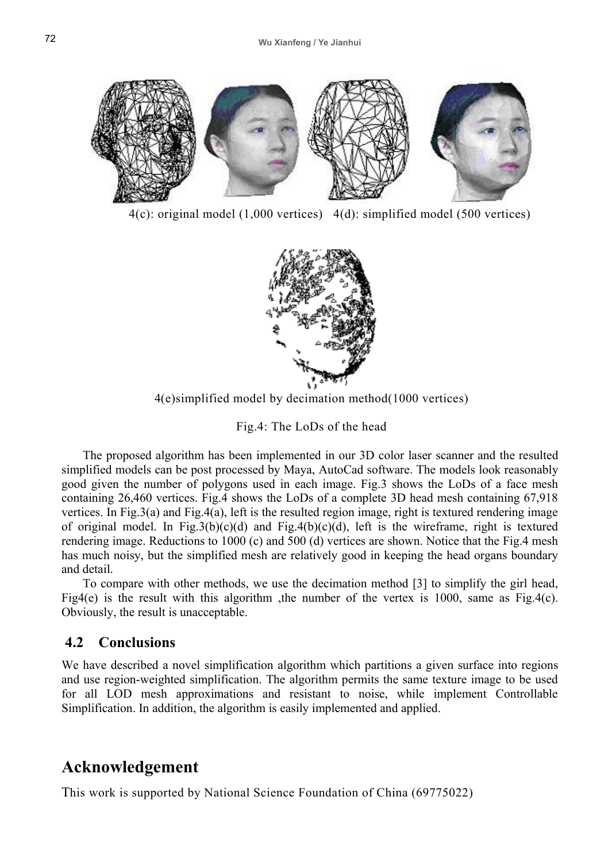

4(c): original model (1,000 vertices) 4(d): simplified model (500 vertices)



4(e)simplified model by decimation method(1000 vertices)

Fig.4: The LoDs of the head

The proposed algorithm has been implemented in our 3D color laser scanner and the resulted simplified models can be post processed by Maya, AutoCad software. The models look reasonably good given the number of polygons used in each image. Fig.3 shows the LoDs of a face mesh containing 26,460 vertices. Fig.4 shows the LoDs of a complete 3D head mesh containing 67,918 vertices. In Fig.3(a) and Fig.4(a), left is the resulted region image, right is textured rendering image of original model. In Fig.3(b)(c)(d) and Fig.4(b)(c)(d), left is the wireframe, right is textured rendering image. Reductions to 1000 (c) and 500 (d) vertices are shown. Notice that the Fig.4 mesh has much noisy, but the simplified mesh are relatively good in keeping the head organs boundary and detail.

To compare with other methods, we use the decimation method [3] to simplify the girl head, Fig4(e) is the result with this algorithm, the number of the vertex is 1000, same as Fig.4(c). Obviously, the result is unacceptable.

### **4.2 Conclusions**

We have described a novel simplification algorithm which partitions a given surface into regions and use region-weighted simplification. The algorithm permits the same texture image to be used for all LOD mesh approximations and resistant to noise, while implement Controllable Simplification. In addition, the algorithm is easily implemented and applied.

## **Acknowledgement**

This work is supported by National Science Foundation of China (69775022)